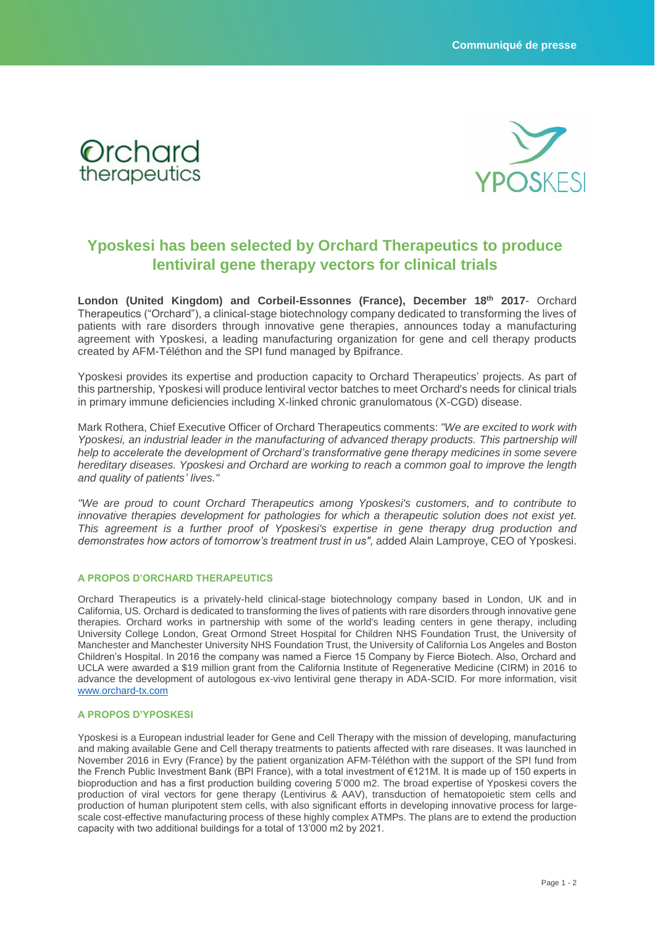



## **Yposkesi has been selected by Orchard Therapeutics to produce lentiviral gene therapy vectors for clinical trials**

**London (United Kingdom) and Corbeil-Essonnes (France), December 18 th 2017**- Orchard Therapeutics ("Orchard"), a clinical-stage biotechnology company dedicated to transforming the lives of patients with rare disorders through innovative gene therapies, announces today a manufacturing agreement with Yposkesi, a leading manufacturing organization for gene and cell therapy products created by AFM-Téléthon and the SPI fund managed by Bpifrance.

Yposkesi provides its expertise and production capacity to Orchard Therapeutics' projects. As part of this partnership, Yposkesi will produce lentiviral vector batches to meet Orchard's needs for clinical trials in primary immune deficiencies including X-linked chronic granulomatous (X-CGD) disease.

Mark Rothera, Chief Executive Officer of Orchard Therapeutics comments: *"We are excited to work with Yposkesi, an industrial leader in the manufacturing of advanced therapy products. This partnership will help to accelerate the development of Orchard's transformative gene therapy medicines in some severe hereditary diseases. Yposkesi and Orchard are working to reach a common goal to improve the length and quality of patients' lives."*

*"We are proud to count Orchard Therapeutics among Yposkesi's customers, and to contribute to innovative therapies development for pathologies for which a therapeutic solution does not exist yet. This agreement is a further proof of Yposkesi's expertise in gene therapy drug production and demonstrates how actors of tomorrow's treatment trust in us",* added Alain Lamproye, CEO of Yposkesi.

## **A PROPOS D'ORCHARD THERAPEUTICS**

Orchard Therapeutics is a privately-held clinical-stage biotechnology company based in London, UK and in California, US. Orchard is dedicated to transforming the lives of patients with rare disorders through innovative gene therapies. Orchard works in partnership with some of the world's leading centers in gene therapy, including University College London, Great Ormond Street Hospital for Children NHS Foundation Trust, the University of Manchester and Manchester University NHS Foundation Trust, the University of California Los Angeles and Boston Children's Hospital. In 2016 the company was named a Fierce 15 Company by Fierce Biotech. Also, Orchard and UCLA were awarded a \$19 million grant from the California Institute of Regenerative Medicine (CIRM) in 2016 to advance the development of autologous ex-vivo lentiviral gene therapy in ADA-SCID. For more information, visit [www.orchard-tx.com](http://www.orchard-tx.com/)

## **A PROPOS D'YPOSKESI**

Yposkesi is a European industrial leader for Gene and Cell Therapy with the mission of developing, manufacturing and making available Gene and Cell therapy treatments to patients affected with rare diseases. It was launched in November 2016 in Evry (France) by the patient organization AFM-Téléthon with the support of the SPI fund from the French Public Investment Bank (BPI France), with a total investment of €121M. It is made up of 150 experts in bioproduction and has a first production building covering 5'000 m2. The broad expertise of Yposkesi covers the production of viral vectors for gene therapy (Lentivirus & AAV), transduction of hematopoietic stem cells and production of human pluripotent stem cells, with also significant efforts in developing innovative process for largescale cost-effective manufacturing process of these highly complex ATMPs. The plans are to extend the production capacity with two additional buildings for a total of 13'000 m2 by 2021.